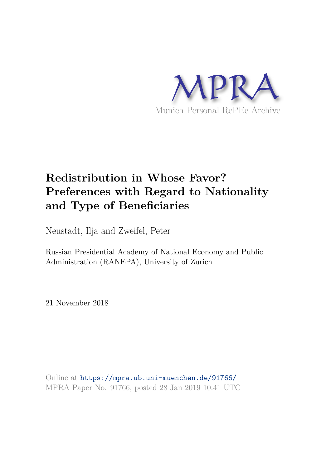

# **Redistribution in Whose Favor? Preferences with Regard to Nationality and Type of Beneficiaries**

Neustadt, Ilja and Zweifel, Peter

Russian Presidential Academy of National Economy and Public Administration (RANEPA), University of Zurich

21 November 2018

Online at https://mpra.ub.uni-muenchen.de/91766/ MPRA Paper No. 91766, posted 28 Jan 2019 10:41 UTC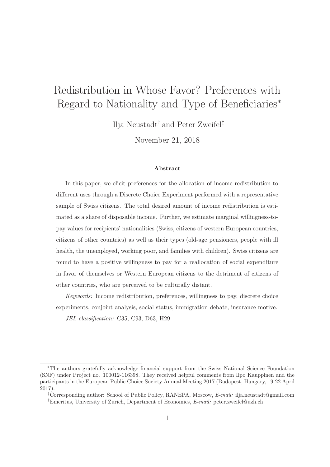# Redistribution in Whose Favor? Preferences with Regard to Nationality and Type of Beneficiaries<sup>∗</sup>

Ilja Neustadt† and Peter Zweifel‡

November 21, 2018

#### Abstract

In this paper, we elicit preferences for the allocation of income redistribution to different uses through a Discrete Choice Experiment performed with a representative sample of Swiss citizens. The total desired amount of income redistribution is estimated as a share of disposable income. Further, we estimate marginal willingness-topay values for recipients' nationalities (Swiss, citizens of western European countries, citizens of other countries) as well as their types (old-age pensioners, people with ill health, the unemployed, working poor, and families with children). Swiss citizens are found to have a positive willingness to pay for a reallocation of social expenditure in favor of themselves or Western European citizens to the detriment of citizens of other countries, who are perceived to be culturally distant.

Keywords: Income redistribution, preferences, willingness to pay, discrete choice experiments, conjoint analysis, social status, immigration debate, insurance motive.

JEL classification: C35, C93, D63, H29

<sup>∗</sup>The authors gratefully acknowledge financial support from the Swiss National Science Foundation (SNF) under Project no. 100012-116398. They received helpful comments from Ilpo Kauppinen and the participants in the European Public Choice Society Annual Meeting 2017 (Budapest, Hungary, 19-22 April 2017).

<sup>†</sup>Corresponding author: School of Public Policy, RANEPA, Moscow, E-mail: ilja.neustadt@gmail.com ‡Emeritus, University of Zurich, Department of Economics, E-mail: peter.zweifel@uzh.ch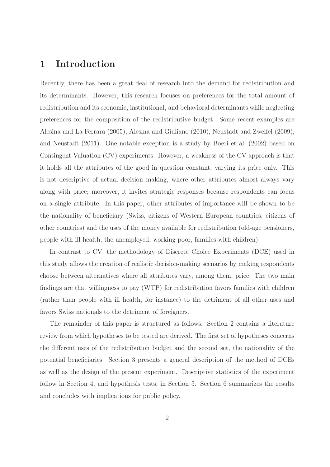### 1 Introduction

Recently, there has been a great deal of research into the demand for redistribution and its determinants. However, this research focuses on preferences for the total amount of redistribution and its economic, institutional, and behavioral determinants while neglecting preferences for the composition of the redistributive budget. Some recent examples are Alesina and La Ferrara (2005), Alesina and Giuliano (2010), Neustadt and Zweifel (2009), and Neustadt (2011). One notable exception is a study by Boeri et al. (2002) based on Contingent Valuation (CV) experiments. However, a weakness of the CV approach is that it holds all the attributes of the good in question constant, varying its price only. This is not descriptive of actual decision making, where other attributes almost always vary along with price; moreover, it invites strategic responses because respondents can focus on a single attribute. In this paper, other attributes of importance will be shown to be the nationality of beneficiary (Swiss, citizens of Western European countries, citizens of other countries) and the uses of the money available for redistribution (old-age pensioners, people with ill health, the unemployed, working poor, families with children).

In contrast to CV, the methodology of Discrete Choice Experiments (DCE) used in this study allows the creation of realistic decision-making scenarios by making respondents choose between alternatives where all attributes vary, among them, price. The two main findings are that willingness to pay (WTP) for redistribution favors families with children (rather than people with ill health, for instance) to the detriment of all other uses and favors Swiss nationals to the detriment of foreigners.

The remainder of this paper is structured as follows. Section 2 contains a literature review from which hypotheses to be tested are derived. The first set of hypotheses concerns the different uses of the redistribution budget and the second set, the nationality of the potential beneficiaries. Section 3 presents a general description of the method of DCEs as well as the design of the present experiment. Descriptive statistics of the experiment follow in Section 4, and hypothesis tests, in Section 5. Section 6 summarizes the results and concludes with implications for public policy.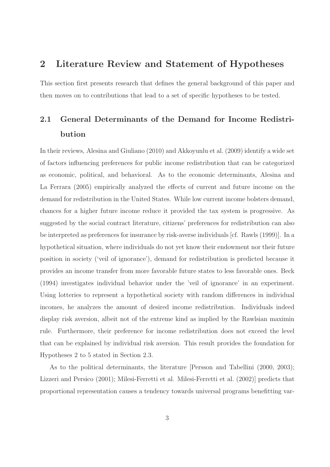# 2 Literature Review and Statement of Hypotheses

This section first presents research that defines the general background of this paper and then moves on to contributions that lead to a set of specific hypotheses to be tested.

# 2.1 General Determinants of the Demand for Income Redistribution

In their reviews, Alesina and Giuliano (2010) and Akkoyunlu et al. (2009) identify a wide set of factors influencing preferences for public income redistribution that can be categorized as economic, political, and behavioral. As to the economic determinants, Alesina and La Ferrara (2005) empirically analyzed the effects of current and future income on the demand for redistribution in the United States. While low current income bolsters demand, chances for a higher future income reduce it provided the tax system is progressive. As suggested by the social contract literature, citizens' preferences for redistribution can also be interpreted as preferences for insurance by risk-averse individuals [cf. Rawls (1999)]. In a hypothetical situation, where individuals do not yet know their endowment nor their future position in society ('veil of ignorance'), demand for redistribution is predicted because it provides an income transfer from more favorable future states to less favorable ones. Beck (1994) investigates individual behavior under the 'veil of ignorance' in an experiment. Using lotteries to represent a hypothetical society with random differences in individual incomes, he analyzes the amount of desired income redistribution. Individuals indeed display risk aversion, albeit not of the extreme kind as implied by the Rawlsian maximin rule. Furthermore, their preference for income redistribution does not exceed the level that can be explained by individual risk aversion. This result provides the foundation for Hypotheses 2 to 5 stated in Section 2.3.

As to the political determinants, the literature [Persson and Tabellini (2000, 2003); Lizzeri and Persico (2001); Milesi-Ferretti et al. Milesi-Ferretti et al. (2002)] predicts that proportional representation causes a tendency towards universal programs benefitting var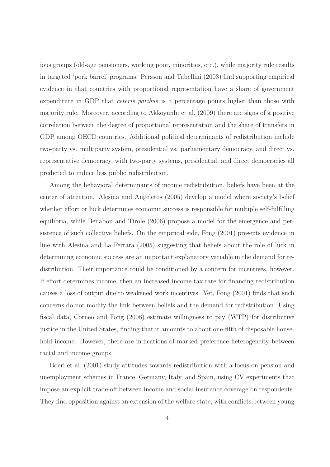ious groups (old-age pensioners, working poor, minorities, etc.), while majority rule results in targeted 'pork barrel' programs. Persson and Tabellini (2003) find supporting empirical evidence in that countries with proportional representation have a share of government expenditure in GDP that *ceteris paribus* is 5 percentage points higher than those with majority rule. Moreover, according to Akkoyunlu et al. (2009) there are signs of a positive correlation between the degree of proportional representation and the share of transfers in GDP among OECD countries. Additional political determinants of redistribution include two-party vs. multiparty system, presidential vs. parliamentary democracy, and direct vs. representative democracy, with two-party systems, presidential, and direct democracies all predicted to induce less public redistribution.

Among the behavioral determinants of income redistribution, beliefs have been at the center of attention. Alesina and Angeletos (2005) develop a model where society's belief whether effort or luck determines economic success is responsible for multiple self-fulfilling equilibria, while Benabou and Tirole (2006) propose a model for the emergence and persistence of such collective beliefs. On the empirical side, Fong (2001) presents evidence in line with Alesina and La Ferrara (2005) suggesting that beliefs about the role of luck in determining economic success are an important explanatory variable in the demand for redistribution. Their importance could be conditioned by a concern for incentives, however. If effort determines income, then an increased income tax rate for financing redistribution causes a loss of output due to weakened work incentives. Yet, Fong (2001) finds that such concerns do not modify the link between beliefs and the demand for redistribution. Using fiscal data, Corneo and Fong (2008) estimate willingness to pay (WTP) for distributive justice in the United States, finding that it amounts to about one-fifth of disposable household income. However, there are indications of marked preference heterogeneity between racial and income groups.

Boeri et al. (2001) study attitudes towards redistribution with a focus on pension and unemployment schemes in France, Germany, Italy, and Spain, using CV experiments that impose an explicit trade-off between income and social insurance coverage on respondents. They find opposition against an extension of the welfare state, with conflicts between young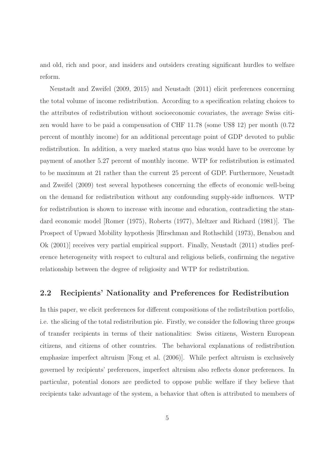and old, rich and poor, and insiders and outsiders creating significant hurdles to welfare reform.

Neustadt and Zweifel (2009, 2015) and Neustadt (2011) elicit preferences concerning the total volume of income redistribution. According to a specification relating choices to the attributes of redistribution without socioeconomic covariates, the average Swiss citizen would have to be paid a compensation of CHF 11.78 (some US\$ 12) per month (0.72 percent of monthly income) for an additional percentage point of GDP devoted to public redistribution. In addition, a very marked status quo bias would have to be overcome by payment of another 5.27 percent of monthly income. WTP for redistribution is estimated to be maximum at 21 rather than the current 25 percent of GDP. Furthermore, Neustadt and Zweifel (2009) test several hypotheses concerning the effects of economic well-being on the demand for redistribution without any confounding supply-side influences. WTP for redistribution is shown to increase with income and education, contradicting the standard economic model [Romer (1975), Roberts (1977), Meltzer and Richard (1981)]. The Prospect of Upward Mobility hypothesis [Hirschman and Rothschild (1973), Benabou and Ok (2001)] receives very partial empirical support. Finally, Neustadt (2011) studies preference heterogeneity with respect to cultural and religious beliefs, confirming the negative relationship between the degree of religiosity and WTP for redistribution.

#### 2.2 Recipients' Nationality and Preferences for Redistribution

In this paper, we elicit preferences for different compositions of the redistribution portfolio, i.e. the slicing of the total redistribution pie. Firstly, we consider the following three groups of transfer recipients in terms of their nationalities: Swiss citizens, Western European citizens, and citizens of other countries. The behavioral explanations of redistribution emphasize imperfect altruism [Fong et al. (2006)]. While perfect altruism is exclusively governed by recipients' preferences, imperfect altruism also reflects donor preferences. In particular, potential donors are predicted to oppose public welfare if they believe that recipients take advantage of the system, a behavior that often is attributed to members of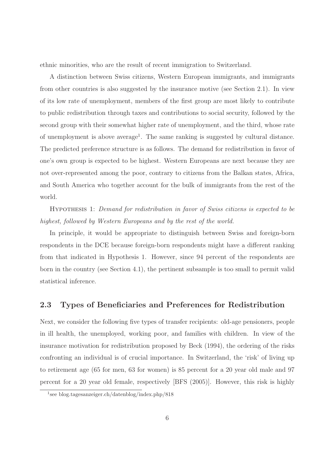ethnic minorities, who are the result of recent immigration to Switzerland.

A distinction between Swiss citizens, Western European immigrants, and immigrants from other countries is also suggested by the insurance motive (see Section 2.1). In view of its low rate of unemployment, members of the first group are most likely to contribute to public redistribution through taxes and contributions to social security, followed by the second group with their somewhat higher rate of unemployment, and the third, whose rate of unemployment is above average<sup>1</sup>. The same ranking is suggested by cultural distance. The predicted preference structure is as follows. The demand for redistribution in favor of one's own group is expected to be highest. Western Europeans are next because they are not over-represented among the poor, contrary to citizens from the Balkan states, Africa, and South America who together account for the bulk of immigrants from the rest of the world.

Hypothesis 1: Demand for redistribution in favor of Swiss citizens is expected to be highest, followed by Western Europeans and by the rest of the world.

In principle, it would be appropriate to distinguish between Swiss and foreign-born respondents in the DCE because foreign-born respondents might have a different ranking from that indicated in Hypothesis 1. However, since 94 percent of the respondents are born in the country (see Section 4.1), the pertinent subsample is too small to permit valid statistical inference.

### 2.3 Types of Beneficiaries and Preferences for Redistribution

Next, we consider the following five types of transfer recipients: old-age pensioners, people in ill health, the unemployed, working poor, and families with children. In view of the insurance motivation for redistribution proposed by Beck (1994), the ordering of the risks confronting an individual is of crucial importance. In Switzerland, the 'risk' of living up to retirement age (65 for men, 63 for women) is 85 percent for a 20 year old male and 97 percent for a 20 year old female, respectively [BFS (2005)]. However, this risk is highly

<sup>1</sup> see blog.tagesanzeiger.ch/datenblog/index.php/818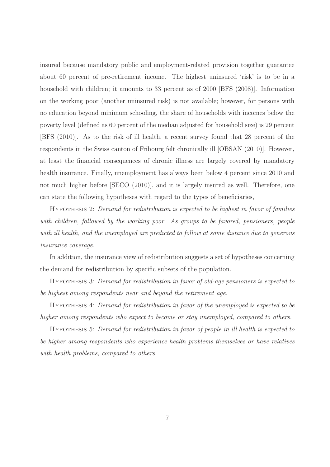insured because mandatory public and employment-related provision together guarantee about 60 percent of pre-retirement income. The highest uninsured 'risk' is to be in a household with children; it amounts to 33 percent as of 2000 [BFS (2008)]. Information on the working poor (another uninsured risk) is not available; however, for persons with no education beyond minimum schooling, the share of households with incomes below the poverty level (defined as 60 percent of the median adjusted for household size) is 29 percent [BFS (2010)]. As to the risk of ill health, a recent survey found that 28 percent of the respondents in the Swiss canton of Fribourg felt chronically ill [OBSAN (2010)]. However, at least the financial consequences of chronic illness are largely covered by mandatory health insurance. Finally, unemployment has always been below 4 percent since 2010 and not much higher before [SECO (2010)], and it is largely insured as well. Therefore, one can state the following hypotheses with regard to the types of beneficiaries,

Hypothesis 2: Demand for redistribution is expected to be highest in favor of families with children, followed by the working poor. As groups to be favored, pensioners, people with ill health, and the unemployed are predicted to follow at some distance due to generous insurance coverage.

In addition, the insurance view of redistribution suggests a set of hypotheses concerning the demand for redistribution by specific subsets of the population.

Hypothesis 3: Demand for redistribution in favor of old-age pensioners is expected to be highest among respondents near and beyond the retirement age.

Hypothesis 4: Demand for redistribution in favor of the unemployed is expected to be higher among respondents who expect to become or stay unemployed, compared to others.

Hypothesis 5: Demand for redistribution in favor of people in ill health is expected to be higher among respondents who experience health problems themselves or have relatives with health problems, compared to others.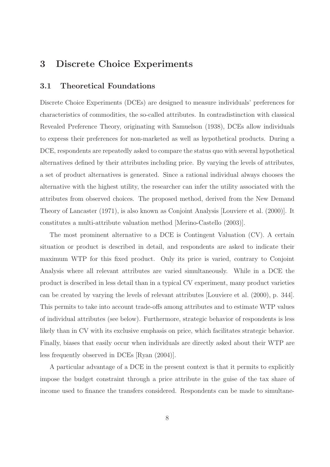# 3 Discrete Choice Experiments

#### 3.1 Theoretical Foundations

Discrete Choice Experiments (DCEs) are designed to measure individuals' preferences for characteristics of commodities, the so-called attributes. In contradistinction with classical Revealed Preference Theory, originating with Samuelson (1938), DCEs allow individuals to express their preferences for non-marketed as well as hypothetical products. During a DCE, respondents are repeatedly asked to compare the status quo with several hypothetical alternatives defined by their attributes including price. By varying the levels of attributes, a set of product alternatives is generated. Since a rational individual always chooses the alternative with the highest utility, the researcher can infer the utility associated with the attributes from observed choices. The proposed method, derived from the New Demand Theory of Lancaster (1971), is also known as Conjoint Analysis [Louviere et al. (2000)]. It constitutes a multi-attribute valuation method [Merino-Castello (2003)].

The most prominent alternative to a DCE is Contingent Valuation (CV). A certain situation or product is described in detail, and respondents are asked to indicate their maximum WTP for this fixed product. Only its price is varied, contrary to Conjoint Analysis where all relevant attributes are varied simultaneously. While in a DCE the product is described in less detail than in a typical CV experiment, many product varieties can be created by varying the levels of relevant attributes [Louviere et al. (2000), p. 344]. This permits to take into account trade-offs among attributes and to estimate WTP values of individual attributes (see below). Furthermore, strategic behavior of respondents is less likely than in CV with its exclusive emphasis on price, which facilitates strategic behavior. Finally, biases that easily occur when individuals are directly asked about their WTP are less frequently observed in DCEs [Ryan (2004)].

A particular advantage of a DCE in the present context is that it permits to explicitly impose the budget constraint through a price attribute in the guise of the tax share of income used to finance the transfers considered. Respondents can be made to simultane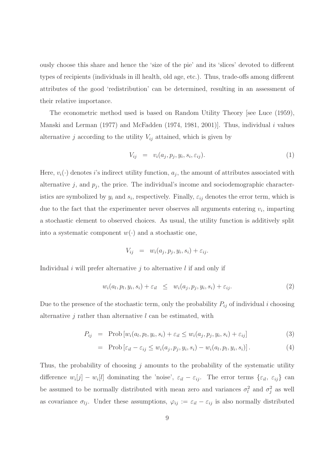ously choose this share and hence the 'size of the pie' and its 'slices' devoted to different types of recipients (individuals in ill health, old age, etc.). Thus, trade-offs among different attributes of the good 'redistribution' can be determined, resulting in an assessment of their relative importance.

The econometric method used is based on Random Utility Theory [see Luce (1959), Manski and Lerman  $(1977)$  and McFadden  $(1974, 1981, 2001)$ . Thus, individual i values alternative j according to the utility  $V_{ij}$  attained, which is given by

$$
V_{ij} = v_i(a_j, p_j, y_i, s_i, \varepsilon_{ij}). \tag{1}
$$

Here,  $v_i(\cdot)$  denotes *i*'s indirect utility function,  $a_j$ , the amount of attributes associated with alternative  $j$ , and  $p_j$ , the price. The individual's income and sociodemographic characteristics are symbolized by  $y_i$  and  $s_i$ , respectively. Finally,  $\varepsilon_{ij}$  denotes the error term, which is due to the fact that the experimenter never observes all arguments entering  $v_i$ , imparting a stochastic element to observed choices. As usual, the utility function is additively split into a systematic component  $w(\cdot)$  and a stochastic one,

$$
V_{ij} = w_i(a_j, p_j, y_i, s_i) + \varepsilon_{ij}.
$$

Individual i will prefer alternative j to alternative  $l$  if and only if

$$
w_i(a_l, p_l, y_i, s_i) + \varepsilon_{il} \leq w_i(a_j, p_j, y_i, s_i) + \varepsilon_{ij}.
$$
\n
$$
(2)
$$

Due to the presence of the stochastic term, only the probability  $P_{ij}$  of individual i choosing alternative  $j$  rather than alternative  $l$  can be estimated, with

$$
P_{ij} = \text{Prob}\left[w_i(a_l, p_l, y_i, s_i) + \varepsilon_{il} \le w_i(a_j, p_j, y_i, s_i) + \varepsilon_{ij}\right]
$$
\n(3)

$$
= \text{Prob}\left[\varepsilon_{il} - \varepsilon_{ij} \le w_i(a_j, p_j, y_i, s_i) - w_i(a_l, p_l, y_i, s_i)\right]. \tag{4}
$$

Thus, the probability of choosing  $j$  amounts to the probability of the systematic utility difference  $w_i[j] - w_i[l]$  dominating the 'noise',  $\varepsilon_{il} - \varepsilon_{ij}$ . The error terms  $\{\varepsilon_{il}, \varepsilon_{ij}\}$  can be assumed to be normally distributed with mean zero and variances  $\sigma_l^2$  $\ell_i^2$  and  $\sigma_j^2$  $j<sup>2</sup>$  as well as covariance  $\sigma_{lj}$ . Under these assumptions,  $\varphi_{ij} := \varepsilon_{il} - \varepsilon_{ij}$  is also normally distributed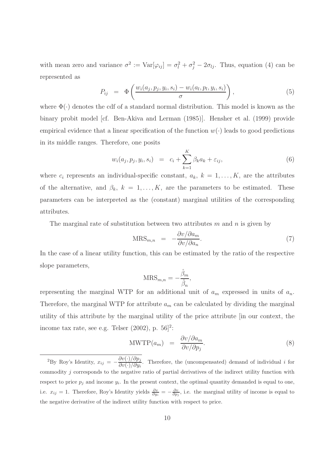with mean zero and variance  $\sigma^2 := \text{Var}[\varphi_{ij}] = \sigma_i^2 + \sigma_j^2 - 2\sigma_{lj}$ . Thus, equation (4) can be represented as

$$
P_{ij} = \Phi\left(\frac{w_i(a_j, p_j, y_i, s_i) - w_i(a_l, p_l, y_i, s_i)}{\sigma}\right),\tag{5}
$$

where  $\Phi(\cdot)$  denotes the cdf of a standard normal distribution. This model is known as the binary probit model [cf. Ben-Akiva and Lerman (1985)]. Hensher et al. (1999) provide empirical evidence that a linear specification of the function  $w(\cdot)$  leads to good predictions in its middle ranges. Therefore, one posits

$$
w_i(a_j, p_j, y_i, s_i) = c_i + \sum_{k=1}^{K} \beta_k a_k + \varepsilon_{ij}, \qquad (6)
$$

where  $c_i$  represents an individual-specific constant,  $a_k$ ,  $k = 1, \ldots, K$ , are the attributes of the alternative, and  $\beta_k$ ,  $k = 1, ..., K$ , are the parameters to be estimated. These parameters can be interpreted as the (constant) marginal utilities of the corresponding attributes.

The marginal rate of substitution between two attributes  $m$  and  $n$  is given by

$$
MRS_{m,n} = -\frac{\partial v/\partial a_m}{\partial v/\partial a_n}.
$$
\n(7)

In the case of a linear utility function, this can be estimated by the ratio of the respective slope parameters,

$$
MRS_{m,n} = -\frac{\hat{\beta}_m}{\hat{\beta}_n},
$$

representing the marginal WTP for an additional unit of  $a_m$  expressed in units of  $a_n$ . Therefore, the marginal WTP for attribute  $a_m$  can be calculated by dividing the marginal utility of this attribute by the marginal utility of the price attribute [in our context, the income tax rate, see e.g. Telser  $(2002)$ , p.  $56]^2$ :

$$
\text{MWTP}(a_m) = \frac{\partial v/\partial a_m}{\partial v/\partial p_j}.
$$
\n(8)

<sup>&</sup>lt;sup>2</sup>By Roy's Identity,  $x_{ij} = -\frac{\partial v(\cdot)/\partial p_{ij}}{\partial v(\cdot)/\partial w_{ij}}$  $\frac{\partial v(y/\partial p_j)}{\partial v(x)/\partial y_i}$ . Therefore, the (uncompensated) demand of individual *i* for commodity j corresponds to the negative ratio of partial derivatives of the indirect utility function with respect to price  $p_j$  and income  $y_i$ . In the present context, the optimal quantity demanded is equal to one, i.e.  $x_{ij} = 1$ . Therefore, Roy's Identity yields  $\frac{\partial v}{\partial y_i} = -\frac{\partial v}{\partial p_j}$ , i.e. the marginal utility of income is equal to the negative derivative of the indirect utility function with respect to price.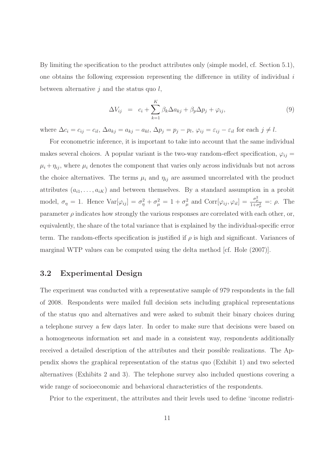By limiting the specification to the product attributes only (simple model, cf. Section 5.1), one obtains the following expression representing the difference in utility of individual  $i$ between alternative  $j$  and the status quo  $l$ ,

$$
\Delta V_{ij} = c_i + \sum_{k=1}^{K} \beta_k \Delta a_{kj} + \beta_p \Delta p_j + \varphi_{ij}, \qquad (9)
$$

where  $\Delta c_i = c_{ij} - c_{il}$ ,  $\Delta a_{kj} = a_{kj} - a_{kl}$ ,  $\Delta p_j = p_j - p_l$ ,  $\varphi_{ij} = \varepsilon_{ij} - \varepsilon_{il}$  for each  $j \neq l$ .

For econometric inference, it is important to take into account that the same individual makes several choices. A popular variant is the two-way random-effect specification,  $\varphi_{ij} =$  $\mu_i + \eta_{ij}$ , where  $\mu_i$  denotes the component that varies only across individuals but not across the choice alternatives. The terms  $\mu_i$  and  $\eta_{ij}$  are assumed uncorrelated with the product attributes  $(a_{i1}, \ldots, a_{iK})$  and between themselves. By a standard assumption in a probit model,  $\sigma_{\eta} = 1$ . Hence  $Var[\varphi_{ij}] = \sigma_{\eta}^2 + \sigma_{\mu}^2 = 1 + \sigma_{\mu}^2$ <sup>2</sup>/<sub>μ</sub> and Corr[ $\varphi_{ij}, \varphi_{il}$ ] =  $\frac{\sigma_{\mu}^2}{1+\sigma_{\mu}^2}$  =:  $\rho$ . The parameter  $\rho$  indicates how strongly the various responses are correlated with each other, or, equivalently, the share of the total variance that is explained by the individual-specific error term. The random-effects specification is justified if  $\rho$  is high and significant. Variances of marginal WTP values can be computed using the delta method [cf. Hole (2007)].

#### 3.2 Experimental Design

The experiment was conducted with a representative sample of 979 respondents in the fall of 2008. Respondents were mailed full decision sets including graphical representations of the status quo and alternatives and were asked to submit their binary choices during a telephone survey a few days later. In order to make sure that decisions were based on a homogeneous information set and made in a consistent way, respondents additionally received a detailed description of the attributes and their possible realizations. The Appendix shows the graphical representation of the status quo (Exhibit 1) and two selected alternatives (Exhibits 2 and 3). The telephone survey also included questions covering a wide range of socioeconomic and behavioral characteristics of the respondents.

Prior to the experiment, the attributes and their levels used to define 'income redistri-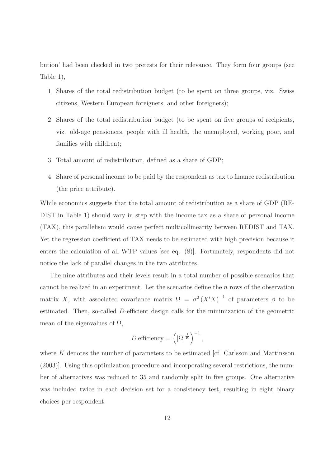bution' had been checked in two pretests for their relevance. They form four groups (see Table 1),

- 1. Shares of the total redistribution budget (to be spent on three groups, viz. Swiss citizens, Western European foreigners, and other foreigners);
- 2. Shares of the total redistribution budget (to be spent on five groups of recipients, viz. old-age pensioners, people with ill health, the unemployed, working poor, and families with children);
- 3. Total amount of redistribution, defined as a share of GDP;
- 4. Share of personal income to be paid by the respondent as tax to finance redistribution (the price attribute).

While economics suggests that the total amount of redistribution as a share of GDP (RE-DIST in Table 1) should vary in step with the income tax as a share of personal income (TAX), this parallelism would cause perfect multicollinearity between REDIST and TAX. Yet the regression coefficient of TAX needs to be estimated with high precision because it enters the calculation of all WTP values [see eq. (8)]. Fortunately, respondents did not notice the lack of parallel changes in the two attributes.

The nine attributes and their levels result in a total number of possible scenarios that cannot be realized in an experiment. Let the scenarios define the  $n$  rows of the observation matrix X, with associated covariance matrix  $\Omega = \sigma^2 (X'X)^{-1}$  of parameters  $\beta$  to be estimated. Then, so-called D-efficient design calls for the minimization of the geometric mean of the eigenvalues of  $\Omega$ ,

$$
D \text{ efficiency} = \left( |\Omega|^{\frac{1}{K}} \right)^{-1},
$$

where  $K$  denotes the number of parameters to be estimated [cf. Carlsson and Martinsson (2003)]. Using this optimization procedure and incorporating several restrictions, the number of alternatives was reduced to 35 and randomly split in five groups. One alternative was included twice in each decision set for a consistency test, resulting in eight binary choices per respondent.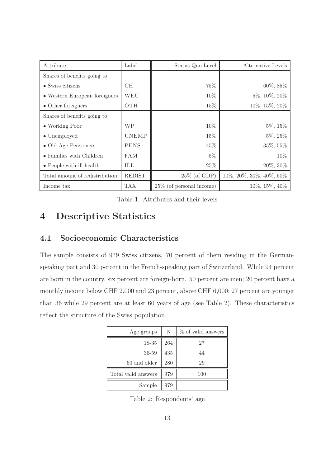| Attribute                      | Label         | Status Quo Level            | Alternative Levels             |
|--------------------------------|---------------|-----------------------------|--------------------------------|
| Shares of benefits going to    |               |                             |                                |
| $\bullet$ Swiss citizens       | CН            | 75%                         | 60%, 85%                       |
| • Western European foreigners  | WEU           | 10%                         | 5%, 10%, 20%                   |
| $\bullet$ Other foreigners     | <b>OTH</b>    | $15\%$                      | 10%, 15%, 20%                  |
| Shares of benefits going to    |               |                             |                                |
| • Working Poor                 | WP            | $10\%$                      | $5\%, 15\%$                    |
| $\bullet$ Unemployed           | <b>UNEMP</b>  | 15%                         | $5\%, 25\%$                    |
| • Old-Age Pensioners           | <b>PENS</b>   | 45\%                        | 35%, 55%                       |
| • Families with Children       | <b>FAM</b>    | $5\%$                       | 10%                            |
| • People with ill health       | ILL           | 25%                         | 20%, 30%                       |
| Total amount of redistribution | <b>REDIST</b> | $25\%$ (of GDP)             | $10\%, 20\%, 30\%, 40\%, 50\%$ |
| Income tax                     | TAX           | $25\%$ (of personal income) | 10%, 15%, 40%                  |

Table 1: Attributes and their levels

# 4 Descriptive Statistics

### 4.1 Socioeconomic Characteristics

The sample consists of 979 Swiss citizens, 70 percent of them residing in the Germanspeaking part and 30 percent in the French-speaking part of Switzerland. While 94 percent are born in the country, six percent are foreign-born. 50 percent are men; 20 percent have a monthly income below CHF 2,000 and 23 percent, above CHF 6,000; 27 percent are younger than 36 while 29 percent are at least 60 years of age (see Table 2). These characteristics reflect the structure of the Swiss population.

| Age groups $\parallel$                                      | N          | % of valid answers |
|-------------------------------------------------------------|------------|--------------------|
|                                                             | <b>264</b> | 27                 |
| $\begin{array}{c} 18\text{-}35 \\ 36\text{-}59 \end{array}$ | $435\,$    | 44                 |
| $60$ and older                                              | 280        | 29                 |
| Total valid answers                                         | 979        | 100                |
| Sample                                                      | 979        |                    |

Table 2: Respondents' age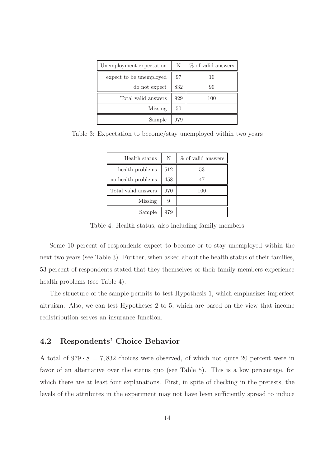| Unemployment expectation | N   | % of valid answers |
|--------------------------|-----|--------------------|
| expect to be unemployed  | 97  | 10                 |
| do not expect            | 832 | 90                 |
| Total valid answers      | 929 | 100                |
| Missing                  | 50  |                    |
| Sample                   | 979 |                    |

Table 3: Expectation to become/stay unemployed within two years

| Health status       | N   | % of valid answers |
|---------------------|-----|--------------------|
| health problems     | 512 | 53                 |
| no health problems  | 458 | 47                 |
| Total valid answers | 970 | 100                |
| Missing             | 9   |                    |
| Sample              | 979 |                    |

Table 4: Health status, also including family members

Some 10 percent of respondents expect to become or to stay unemployed within the next two years (see Table 3). Further, when asked about the health status of their families, 53 percent of respondents stated that they themselves or their family members experience health problems (see Table 4).

The structure of the sample permits to test Hypothesis 1, which emphasizes imperfect altruism. Also, we can test Hypotheses 2 to 5, which are based on the view that income redistribution serves an insurance function.

#### 4.2 Respondents' Choice Behavior

A total of  $979 \cdot 8 = 7,832$  choices were observed, of which not quite 20 percent were in favor of an alternative over the status quo (see Table 5). This is a low percentage, for which there are at least four explanations. First, in spite of checking in the pretests, the levels of the attributes in the experiment may not have been sufficiently spread to induce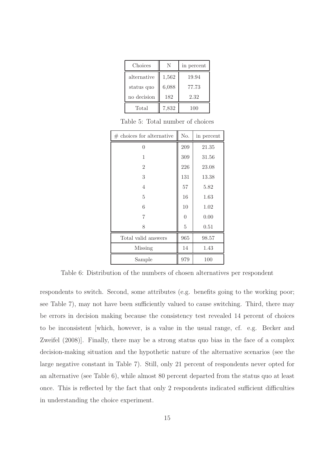| Choices     | N     | in percent |
|-------------|-------|------------|
| alternative | 1,562 | 19.94      |
| status quo  | 6,088 | 77.73      |
| no decision | 182   | 2.32       |
| Total       | 7,832 | 100        |

Table 5: Total number of choices

| $#$ choices for alternative | No.            | in percent |
|-----------------------------|----------------|------------|
| 0                           | 209            | 21.35      |
| 1                           | 309            | 31.56      |
| $\overline{2}$              | 226            | 23.08      |
| 3                           | 131            | 13.38      |
| 4                           | 57             | 5.82       |
| 5                           | 16             | 1.63       |
| 6                           | 10             | 1.02       |
| 7                           | $\theta$       | 0.00       |
| 8                           | $\overline{5}$ | 0.51       |
| Total valid answers         | 965            | 98.57      |
| Missing                     | 14             | 1.43       |
| Sample                      | 979            | 100        |

Table 6: Distribution of the numbers of chosen alternatives per respondent

respondents to switch. Second, some attributes (e.g. benefits going to the working poor; see Table 7), may not have been sufficiently valued to cause switching. Third, there may be errors in decision making because the consistency test revealed 14 percent of choices to be inconsistent [which, however, is a value in the usual range, cf. e.g. Becker and Zweifel (2008)]. Finally, there may be a strong status quo bias in the face of a complex decision-making situation and the hypothetic nature of the alternative scenarios (see the large negative constant in Table 7). Still, only 21 percent of respondents never opted for an alternative (see Table 6), while almost 80 percent departed from the status quo at least once. This is reflected by the fact that only 2 respondents indicated sufficient difficulties in understanding the choice experiment.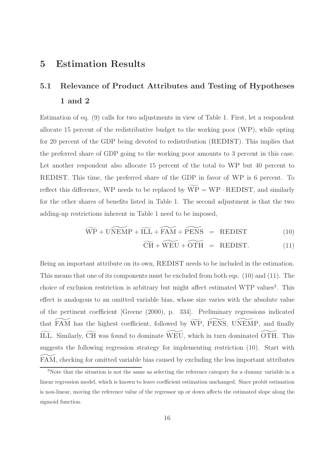### 5 Estimation Results

# 5.1 Relevance of Product Attributes and Testing of Hypotheses 1 and 2

Estimation of eq. (9) calls for two adjustments in view of Table 1. First, let a respondent allocate 15 percent of the redistributive budget to the working poor (WP), while opting for 20 percent of the GDP being devoted to redistribution (REDIST). This implies that the preferred share of GDP going to the working poor amounts to 3 percent in this case. Let another respondent also allocate 15 percent of the total to WP but 40 percent to REDIST. This time, the preferred share of the GDP in favor of WP is 6 percent. To reflect this difference, WP needs to be replaced by  $\widetilde{WP} = WP \cdot REDIST$ , and similarly for the other shares of benefits listed in Table 1. The second adjustment is that the two adding-up restrictions inherent in Table 1 need to be imposed,

$$
\widetilde{\text{WP}} + \widetilde{\text{UNEMP}} + \widetilde{\text{ILL}} + \widetilde{\text{FAM}} + \widetilde{\text{PENS}} = \text{REDIST} \tag{10}
$$

$$
\widetilde{\text{CH}} + \widetilde{\text{WEU}} + \widetilde{\text{OTH}} = \text{REDIST.} \tag{11}
$$

Being an important attribute on its own, REDIST needs to be included in the estimation. This means that one of its components must be excluded from both eqs. (10) and (11). The choice of exclusion restriction is arbitrary but might affect estimated WTP values<sup>3</sup>. This effect is analogous to an omitted variable bias, whose size varies with the absolute value of the pertinent coefficient [Greene (2000), p. 334]. Preliminary regressions indicated that  $FAM$  has the highest coefficient, followed by  $\widetilde{WP}$ , PENS, UNEMP, and finally ILL. Similarly, CH was found to dominate WEU, which in turn dominated OTH. This suggests the following regression strategy for implementing restriction (10). Start with FAM, checking for omitted variable bias caused by excluding the less important attributes

<sup>&</sup>lt;sup>3</sup>Note that the situation is not the same as selecting the reference category for a dummy variable in a linear regression model, which is known to leave coefficient estimation unchanged. Since probit estimation is non-linear, moving the reference value of the regressor up or down affects the estimated slope along the sigmoid function.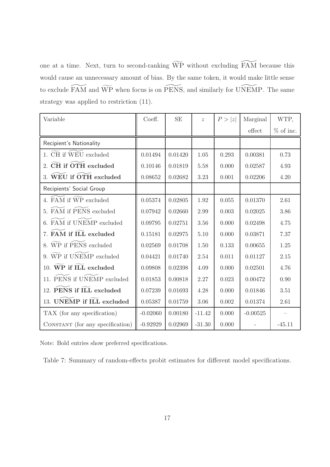one at a time. Next, turn to second-ranking  $\widetilde{WP}$  without excluding  $\widetilde{FAM}$  because this would cause an unnecessary amount of bias. By the same token, it would make little sense to exclude  $\widetilde{\text{FAM}}$  and  $\widetilde{\text{WP}}$  when focus is on  $\widetilde{\text{PENS}}$ , and similarly for UNEMP. The same strategy was applied to restriction (11).

| Variable                         | Coeff.     | <b>SE</b> | $\tilde{z}$ | P >  z | Marginal                | WTP,        |
|----------------------------------|------------|-----------|-------------|--------|-------------------------|-------------|
|                                  |            |           |             |        | $\operatorname{effect}$ | $%$ of inc. |
| Recipient's Nationality          |            |           |             |        |                         |             |
| 1. CH if WEU excluded            | 0.01494    | 0.01420   | 1.05        | 0.293  | 0.00381                 | 0.73        |
| CH if OTH excluded<br>2.         | 0.10146    | 0.01819   | 5.58        | 0.000  | 0.02587                 | 4.93        |
| 3. WEU if OTH excluded           | 0.08652    | 0.02682   | 3.23        | 0.001  | 0.02206                 | 4.20        |
| Recipients' Social Group         |            |           |             |        |                         |             |
| 4. FAM if WP excluded            | 0.05374    | 0.02805   | 1.92        | 0.055  | 0.01370                 | 2.61        |
| 5. FAM if PENS excluded          | 0.07942    | 0.02660   | 2.99        | 0.003  | 0.02025                 | 3.86        |
| FAM if UNEMP excluded            | 0.09795    | 0.02751   | 3.56        | 0.000  | 0.02498                 | 4.75        |
| 7. FAM if ILL excluded           | 0.15181    | 0.02975   | 5.10        | 0.000  | 0.03871                 | 7.37        |
| 8. WP if PENS excluded           | 0.02569    | 0.01708   | 1.50        | 0.133  | 0.00655                 | 1.25        |
| 9. WP if UNEMP excluded          | 0.04421    | 0.01740   | 2.54        | 0.011  | 0.01127                 | 2.15        |
| 10. WP if ILL excluded           | 0.09808    | 0.02398   | 4.09        | 0.000  | 0.02501                 | 4.76        |
| 11. PENS if UNEMP excluded       | 0.01853    | 0.00818   | 2.27        | 0.023  | 0.00472                 | 0.90        |
| 12. PENS if ILL excluded         | 0.07239    | 0.01693   | 4.28        | 0.000  | 0.01846                 | 3.51        |
| 13. UNEMP if ILL excluded        | 0.05387    | 0.01759   | 3.06        | 0.002  | 0.01374                 | 2.61        |
| TAX (for any specification)      | $-0.02060$ | 0.00180   | $-11.42$    | 0.000  | $-0.00525$              |             |
| CONSTANT (for any specification) | $-0.92929$ | 0.02969   | $-31.30$    | 0.000  |                         | $-45.11$    |

Note: Bold entries show preferred specifications.

Table 7: Summary of random-effects probit estimates for different model specifications.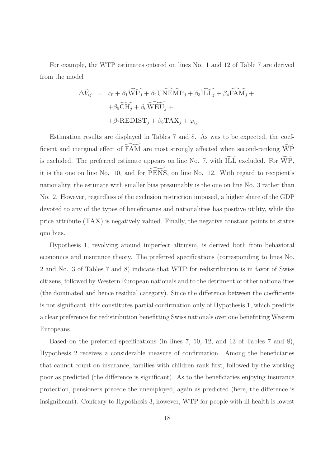For example, the WTP estimates entered on lines No. 1 and 12 of Table 7 are derived from the model

$$
\Delta \tilde{V}_{ij} = c_0 + \beta_1 \widetilde{WP}_j + \beta_2 \widetilde{UNEMP}_j + \beta_3 \widetilde{ILL}_j + \beta_4 \widetilde{FAM}_j +
$$

$$
+ \beta_5 \widetilde{CH}_j + \beta_6 \widetilde{WEU}_j +
$$

$$
+ \beta_7 \text{REDIST}_j + \beta_8 \text{TAX}_j + \varphi_{ij}.
$$

Estimation results are displayed in Tables 7 and 8. As was to be expected, the coefficient and marginal effect of  $FAM$  are most strongly affected when second-ranking  $\widetilde{WP}$ is excluded. The preferred estimate appears on line No. 7, with  $\widetilde{\text{ILL}}$  excluded. For  $\widetilde{\text{WP}}$ , it is the one on line No. 10, and for PENS, on line No. 12. With regard to recipient's nationality, the estimate with smaller bias presumably is the one on line No. 3 rather than No. 2. However, regardless of the exclusion restriction imposed, a higher share of the GDP devoted to any of the types of beneficiaries and nationalities has positive utility, while the price attribute (TAX) is negatively valued. Finally, the negative constant points to status quo bias.

Hypothesis 1, revolving around imperfect altruism, is derived both from behavioral economics and insurance theory. The preferred specifications (corresponding to lines No. 2 and No. 3 of Tables 7 and 8) indicate that WTP for redistribution is in favor of Swiss citizens, followed by Western European nationals and to the detriment of other nationalities (the dominated and hence residual category). Since the difference between the coefficients is not significant, this constitutes partial confirmation only of Hypothesis 1, which predicts a clear preference for redistribution benefitting Swiss nationals over one benefitting Western Europeans.

Based on the preferred specifications (in lines 7, 10, 12, and 13 of Tables 7 and 8), Hypothesis 2 receives a considerable measure of confirmation. Among the beneficiaries that cannot count on insurance, families with children rank first, followed by the working poor as predicted (the difference is significant). As to the beneficiaries enjoying insurance protection, pensioners precede the unemployed, again as predicted (here, the difference is insignificant). Contrary to Hypothesis 3, however, WTP for people with ill health is lowest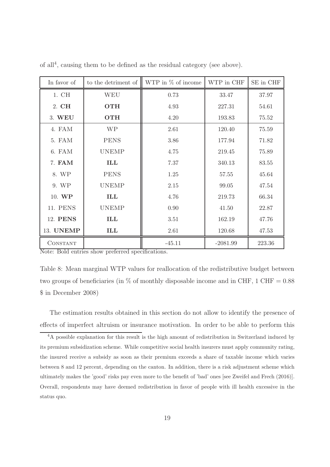| In favor of | to the detriment of $\parallel$ | WTP in % of income | WTP in CHF | SE in CHF |
|-------------|---------------------------------|--------------------|------------|-----------|
| 1. CH       | <b>WEU</b>                      | 0.73               | 33.47      | 37.97     |
| 2. CH       | <b>OTH</b>                      | 4.93               | 227.31     | 54.61     |
| 3. WEU      | <b>OTH</b>                      | 4.20               | 193.83     | 75.52     |
| 4. FAM      | <b>WP</b>                       | 2.61               | 120.40     | 75.59     |
| 5. FAM      | <b>PENS</b>                     | 3.86               | 177.94     | 71.82     |
| 6. FAM      | <b>UNEMP</b>                    | 4.75               | 219.45     | 75.89     |
| 7. FAM      | ILL                             | 7.37               | 340.13     | 83.55     |
| 8. WP       | <b>PENS</b>                     | 1.25               | 57.55      | 45.64     |
| 9. WP       | <b>UNEMP</b>                    | 2.15               | 99.05      | 47.54     |
| 10. WP      | ILL                             | 4.76               | 219.73     | 66.34     |
| 11. PENS    | <b>UNEMP</b>                    | 0.90               | 41.50      | 22.87     |
| 12. PENS    | ILL                             | 3.51               | 162.19     | 47.76     |
| 13. UNEMP   | ILL                             | 2.61               | 120.68     | 47.53     |
| CONSTANT    |                                 | $-45.11$           | $-2081.99$ | 223.36    |

of all<sup>4</sup> , causing them to be defined as the residual category (see above).

Note: Bold entries show preferred specifications.

Table 8: Mean marginal WTP values for reallocation of the redistributive budget between two groups of beneficiaries (in  $\%$  of monthly disposable income and in CHF, 1 CHF = 0.88 \$ in December 2008)

The estimation results obtained in this section do not allow to identify the presence of effects of imperfect altruism or insurance motivation. In order to be able to perform this

<sup>4</sup>A possible explanation for this result is the high amount of redistribution in Switzerland induced by its premium subsidization scheme. While competitive social health insurers must apply community rating, the insured receive a subsidy as soon as their premium exceeds a share of taxable income which varies between 8 and 12 percent, depending on the canton. In addition, there is a risk adjustment scheme which ultimately makes the 'good' risks pay even more to the benefit of 'bad' ones [see Zweifel and Frech (2016)]. Overall, respondents may have deemed redistribution in favor of people with ill health excessive in the status quo.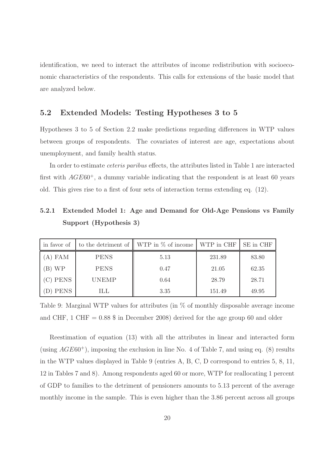identification, we need to interact the attributes of income redistribution with socioeconomic characteristics of the respondents. This calls for extensions of the basic model that are analyzed below.

#### 5.2 Extended Models: Testing Hypotheses 3 to 5

Hypotheses 3 to 5 of Section 2.2 make predictions regarding differences in WTP values between groups of respondents. The covariates of interest are age, expectations about unemployment, and family health status.

In order to estimate ceteris paribus effects, the attributes listed in Table 1 are interacted first with  $AGE60^+$ , a dummy variable indicating that the respondent is at least 60 years old. This gives rise to a first of four sets of interaction terms extending eq. (12).

# 5.2.1 Extended Model 1: Age and Demand for Old-Age Pensions vs Family Support (Hypothesis 3)

| in favor of |              | to the detriment of $\parallel$ WTP in $\%$ of income $\parallel$ WTP in CHF |        | SE in CHF |
|-------------|--------------|------------------------------------------------------------------------------|--------|-----------|
| A) FAM      | <b>PENS</b>  | 5.13                                                                         | 231.89 | 83.80     |
| B) WP       | <b>PENS</b>  | 0.47                                                                         | 21.05  | 62.35     |
| C) PENS     | <b>UNEMP</b> | 0.64                                                                         | 28.79  | 28.71     |
| PENS        | ILL          | 3.35                                                                         | 151.49 | 49.95     |

Table 9: Marginal WTP values for attributes (in % of monthly disposable average income and CHF, 1 CHF =  $0.88$  \$ in December 2008) derived for the age group 60 and older

Reestimation of equation (13) with all the attributes in linear and interacted form (using  $AGE60<sup>+</sup>$ ), imposing the exclusion in line No. 4 of Table 7, and using eq. (8) results in the WTP values displayed in Table 9 (entries A, B, C, D correspond to entries 5, 8, 11, 12 in Tables 7 and 8). Among respondents aged 60 or more, WTP for reallocating 1 percent of GDP to families to the detriment of pensioners amounts to 5.13 percent of the average monthly income in the sample. This is even higher than the 3.86 percent across all groups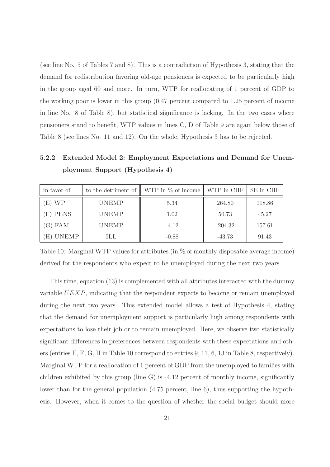(see line No. 5 of Tables 7 and 8). This is a contradiction of Hypothesis 3, stating that the demand for redistribution favoring old-age pensioners is expected to be particularly high in the group aged 60 and more. In turn, WTP for reallocating of 1 percent of GDP to the working poor is lower in this group (0.47 percent compared to 1.25 percent of income in line No. 8 of Table 8), but statistical significance is lacking. In the two cases where pensioners stand to benefit, WTP values in lines C, D of Table 9 are again below those of Table 8 (see lines No. 11 and 12). On the whole, Hypothesis 3 has to be rejected.

5.2.2 Extended Model 2: Employment Expectations and Demand for Unemployment Support (Hypothesis 4)

| in favor of |              | to the detriment of $\parallel$ WTP in % of income | WTP in CHF | SE in CHF |
|-------------|--------------|----------------------------------------------------|------------|-----------|
| E) WP       | <b>UNEMP</b> | 5.34                                               | 264.80     | 118.86    |
| (F) PENS    | <b>UNEMP</b> | 1.02                                               | 50.73      | 45.27     |
| G) FAM      | <b>UNEMP</b> | $-4.12$                                            | $-204.32$  | 157.61    |
| UNEMP       | ILL          | $-0.88$                                            | $-43.73$   | 91.43     |

Table 10: Marginal WTP values for attributes (in  $\%$  of monthly disposable average income) derived for the respondents who expect to be unemployed during the next two years

This time, equation (13) is complemented with all attributes interacted with the dummy variable UEXP, indicating that the respondent expects to become or remain unemployed during the next two years. This extended model allows a test of Hypothesis 4, stating that the demand for unemployment support is particularly high among respondents with expectations to lose their job or to remain unemployed. Here, we observe two statistically significant differences in preferences between respondents with these expectations and others (entries E, F, G, H in Table 10 correspond to entries 9, 11, 6, 13 in Table 8, respectively). Marginal WTP for a reallocation of 1 percent of GDP from the unemployed to families with children exhibited by this group (line G) is  $-4.12$  percent of monthly income, significantly lower than for the general population (4.75 percent, line 6), thus supporting the hypothesis. However, when it comes to the question of whether the social budget should more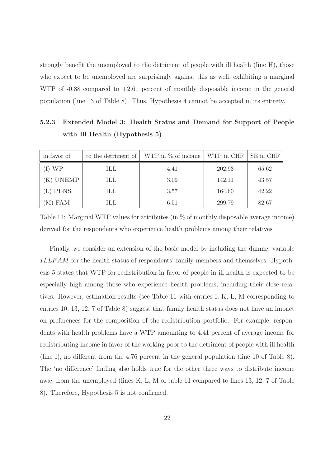strongly benefit the unemployed to the detriment of people with ill health (line H), those who expect to be unemployed are surprisingly against this as well, exhibiting a marginal WTP of  $-0.88$  compared to  $+2.61$  percent of monthly disposable income in the general population (line 13 of Table 8). Thus, Hypothesis 4 cannot be accepted in its entirety.

5.2.3 Extended Model 3: Health Status and Demand for Support of People with Ill Health (Hypothesis 5)

| in favor of |     | to the detriment of $\parallel$ WTP in $\%$ of income $\parallel$ WTP in CHF |        | SE in CHF |
|-------------|-----|------------------------------------------------------------------------------|--------|-----------|
| I) WP       | ILL | 4.41                                                                         | 202.93 | 65.62     |
| K) UNEMP    | ILL | 3.09                                                                         | 142.11 | 43.57     |
| (L) PENS    | ILL | 3.57                                                                         | 164.60 | 42.22     |
| (M) FAM     | ILL | 6.51                                                                         | 299.79 | 82.67     |

Table 11: Marginal WTP values for attributes (in % of monthly disposable average income) derived for the respondents who experience health problems among their relatives

Finally, we consider an extension of the basic model by including the dummy variable ILLF AM for the health status of respondents' family members and themselves. Hypothesis 5 states that WTP for redistribution in favor of people in ill health is expected to be especially high among those who experience health problems, including their close relatives. However, estimation results (see Table 11 with entries I, K, L, M corresponding to entries 10, 13, 12, 7 of Table 8) suggest that family health status does not have an impact on preferences for the composition of the redistribution portfolio. For example, respondents with health problems have a WTP amounting to 4.41 percent of average income for redistributing income in favor of the working poor to the detriment of people with ill health (line I), no different from the 4.76 percent in the general population (line 10 of Table 8). The 'no difference' finding also holds true for the other three ways to distribute income away from the unemployed (lines K, L, M of table 11 compared to lines 13, 12, 7 of Table 8). Therefore, Hypothesis 5 is not confirmed.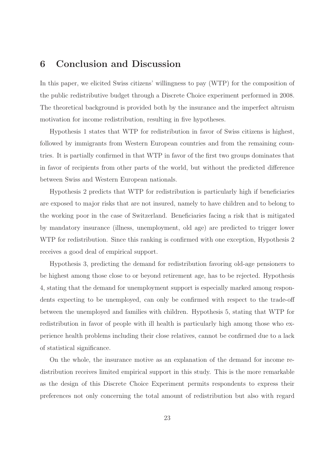### 6 Conclusion and Discussion

In this paper, we elicited Swiss citizens' willingness to pay (WTP) for the composition of the public redistributive budget through a Discrete Choice experiment performed in 2008. The theoretical background is provided both by the insurance and the imperfect altruism motivation for income redistribution, resulting in five hypotheses.

Hypothesis 1 states that WTP for redistribution in favor of Swiss citizens is highest, followed by immigrants from Western European countries and from the remaining countries. It is partially confirmed in that WTP in favor of the first two groups dominates that in favor of recipients from other parts of the world, but without the predicted difference between Swiss and Western European nationals.

Hypothesis 2 predicts that WTP for redistribution is particularly high if beneficiaries are exposed to major risks that are not insured, namely to have children and to belong to the working poor in the case of Switzerland. Beneficiaries facing a risk that is mitigated by mandatory insurance (illness, unemployment, old age) are predicted to trigger lower WTP for redistribution. Since this ranking is confirmed with one exception, Hypothesis 2 receives a good deal of empirical support.

Hypothesis 3, predicting the demand for redistribution favoring old-age pensioners to be highest among those close to or beyond retirement age, has to be rejected. Hypothesis 4, stating that the demand for unemployment support is especially marked among respondents expecting to be unemployed, can only be confirmed with respect to the trade-off between the unemployed and families with children. Hypothesis 5, stating that WTP for redistribution in favor of people with ill health is particularly high among those who experience health problems including their close relatives, cannot be confirmed due to a lack of statistical significance.

On the whole, the insurance motive as an explanation of the demand for income redistribution receives limited empirical support in this study. This is the more remarkable as the design of this Discrete Choice Experiment permits respondents to express their preferences not only concerning the total amount of redistribution but also with regard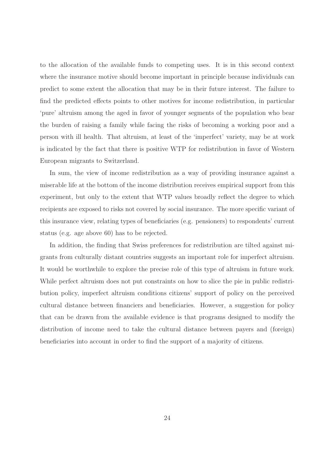to the allocation of the available funds to competing uses. It is in this second context where the insurance motive should become important in principle because individuals can predict to some extent the allocation that may be in their future interest. The failure to find the predicted effects points to other motives for income redistribution, in particular 'pure' altruism among the aged in favor of younger segments of the population who bear the burden of raising a family while facing the risks of becoming a working poor and a person with ill health. That altruism, at least of the 'imperfect' variety, may be at work is indicated by the fact that there is positive WTP for redistribution in favor of Western European migrants to Switzerland.

In sum, the view of income redistribution as a way of providing insurance against a miserable life at the bottom of the income distribution receives empirical support from this experiment, but only to the extent that WTP values broadly reflect the degree to which recipients are exposed to risks not covered by social insurance. The more specific variant of this insurance view, relating types of beneficiaries (e.g. pensioners) to respondents' current status (e.g. age above 60) has to be rejected.

In addition, the finding that Swiss preferences for redistribution are tilted against migrants from culturally distant countries suggests an important role for imperfect altruism. It would be worthwhile to explore the precise role of this type of altruism in future work. While perfect altruism does not put constraints on how to slice the pie in public redistribution policy, imperfect altruism conditions citizens' support of policy on the perceived cultural distance between financiers and beneficiaries. However, a suggestion for policy that can be drawn from the available evidence is that programs designed to modify the distribution of income need to take the cultural distance between payers and (foreign) beneficiaries into account in order to find the support of a majority of citizens.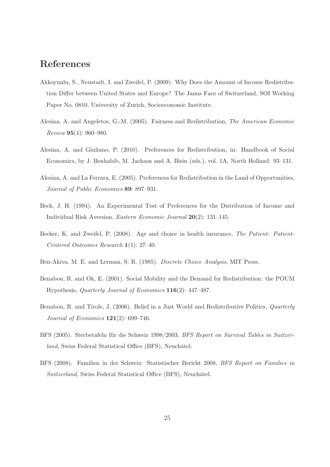# References

- Akkoyunlu, S., Neustadt, I. and Zweifel, P. (2009). Why Does the Amount of Income Redistribution Differ between United States and Europe? The Janus Face of Switzerland, SOI Working Paper No. 0810, University of Zurich, Socioeconomic Institute.
- Alesina, A. and Angeletos, G.-M. (2005). Fairness and Redistribution, The American Economic Review 95(4): 960–980.
- Alesina, A. and Giuliano, P. (2010). Preferences for Redistribution, in: Handbook of Social Economics, by J. Benhabib, M. Jackson and A. Bisin (eds.), vol. 1A, North Holland: 93–131.
- Alesina, A. and La Ferrara, E. (2005). Preferences for Redistribution in the Land of Opportunities, Journal of Public Economics 89: 897–931.
- Beck, J. H. (1994). An Experimental Test of Preferences for the Distribution of Income and Individual Risk Aversion, Eastern Economic Journal 20(2): 131–145.
- Becker, K. and Zweifel, P. (2008). Age and choice in health insurance, The Patient: Patient-Centered Outcomes Research 1(1): 27–40.
- Ben-Akiva, M. E. and Lerman, S. R. (1985). Discrete Choice Analysis, MIT Press.
- Benabou, R. and Ok, E. (2001). Social Mobility and the Demand for Redistribution: the POUM Hypothesis, Quarterly Journal of Economics 116(2): 447–487.
- Benabou, R. and Tirole, J. (2006). Belief in a Just World and Redistributive Politics, Quarterly Journal of Economics 121(2): 699–746.
- BFS (2005). Sterbetafeln für die Schweiz 1998/2003, BFS Report on Survival Tables in Switzerland, Swiss Federal Statistical Office (BFS), Neuchâtel.
- BFS (2008). Familien in der Schweiz: Statistischer Bericht 2008, BFS Report on Families in Switzerland, Swiss Federal Statistical Office (BFS), Neuchâtel.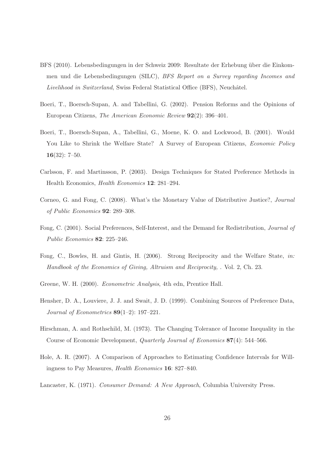- BFS (2010). Lebensbedingungen in der Schweiz 2009: Resultate der Erhebung über die Einkommen und die Lebensbedingungen (SILC), BFS Report on a Survey regarding Incomes and Livelihood in Switzerland, Swiss Federal Statistical Office (BFS), Neuchâtel.
- Boeri, T., Boersch-Supan, A. and Tabellini, G. (2002). Pension Reforms and the Opinions of European Citizens, The American Economic Review 92(2): 396–401.
- Boeri, T., Boersch-Supan, A., Tabellini, G., Moene, K. O. and Lockwood, B. (2001). Would You Like to Shrink the Welfare State? A Survey of European Citizens, *Economic Policy* 16(32): 7–50.
- Carlsson, F. and Martinsson, P. (2003). Design Techniques for Stated Preference Methods in Health Economics, Health Economics 12: 281–294.
- Corneo, G. and Fong, C. (2008). What's the Monetary Value of Distributive Justice?, Journal of Public Economics 92: 289–308.
- Fong, C. (2001). Social Preferences, Self-Interest, and the Demand for Redistribution, Journal of Public Economics 82: 225–246.
- Fong, C., Bowles, H. and Gintis, H. (2006). Strong Reciprocity and the Welfare State, in: Handbook of the Economics of Giving, Altruism and Reciprocity, . Vol. 2, Ch. 23.
- Greene, W. H. (2000). Econometric Analysis, 4th edn, Prentice Hall.
- Hensher, D. A., Louviere, J. J. and Swait, J. D. (1999). Combining Sources of Preference Data, Journal of Econometrics 89(1–2): 197–221.
- Hirschman, A. and Rothschild, M. (1973). The Changing Tolerance of Income Inequality in the Course of Economic Development, Quarterly Journal of Economics 87(4): 544–566.
- Hole, A. R. (2007). A Comparison of Approaches to Estimating Confidence Intervals for Willingness to Pay Measures, Health Economics 16: 827–840.
- Lancaster, K. (1971). Consumer Demand: A New Approach, Columbia University Press.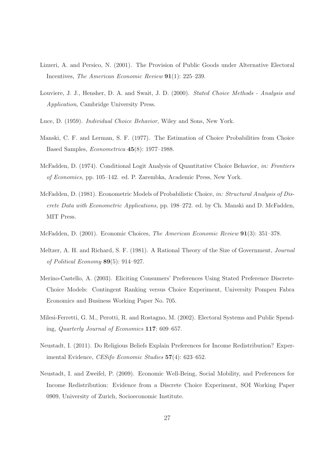- Lizzeri, A. and Persico, N. (2001). The Provision of Public Goods under Alternative Electoral Incentives, The American Economic Review 91(1): 225–239.
- Louviere, J. J., Hensher, D. A. and Swait, J. D. (2000). Stated Choice Methods Analysis and Application, Cambridge University Press.
- Luce, D. (1959). Individual Choice Behavior, Wiley and Sons, New York.
- Manski, C. F. and Lerman, S. F. (1977). The Estimation of Choice Probabilities from Choice Based Samples, Econometrica 45(8): 1977–1988.
- McFadden, D. (1974). Conditional Logit Analysis of Quantitative Choice Behavior, in: Frontiers of Economics, pp. 105–142. ed. P. Zarembka, Academic Press, New York.
- McFadden, D. (1981). Econometric Models of Probabilistic Choice, in: Structural Analysis of Discrete Data with Econometric Applications, pp. 198–272. ed. by Ch. Manski and D. McFadden, MIT Press.
- McFadden, D. (2001). Economic Choices, The American Economic Review 91(3): 351–378.
- Meltzer, A. H. and Richard, S. F. (1981). A Rational Theory of the Size of Government, Journal of Political Economy 89(5): 914–927.
- Merino-Castello, A. (2003). Eliciting Consumers' Preferences Using Stated Preference Discrete-Choice Models: Contingent Ranking versus Choice Experiment, University Pompeu Fabra Economics and Business Working Paper No. 705.
- Milesi-Ferretti, G. M., Perotti, R. and Rostagno, M. (2002). Electoral Systems and Public Spending, Quarterly Journal of Economics 117: 609–657.
- Neustadt, I. (2011). Do Religious Beliefs Explain Preferences for Income Redistribution? Experimental Evidence, CESifo Economic Studies 57(4): 623–652.
- Neustadt, I. and Zweifel, P. (2009). Economic Well-Being, Social Mobility, and Preferences for Income Redistribution: Evidence from a Discrete Choice Experiment, SOI Working Paper 0909, University of Zurich, Socioeconomic Institute.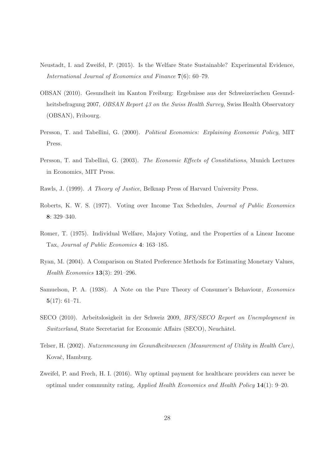- Neustadt, I. and Zweifel, P. (2015). Is the Welfare State Sustainable? Experimental Evidence, International Journal of Economics and Finance 7(6): 60–79.
- OBSAN (2010). Gesundheit im Kanton Freiburg: Ergebnisse aus der Schweizerischen Gesundheitsbefragung 2007, *OBSAN Report 43 on the Swiss Health Survey*, Swiss Health Observatory (OBSAN), Fribourg.
- Persson, T. and Tabellini, G. (2000). Political Economics: Explaining Economic Policy, MIT Press.
- Persson, T. and Tabellini, G. (2003). The Economic Effects of Constitutions, Munich Lectures in Economics, MIT Press.
- Rawls, J. (1999). A Theory of Justice, Belknap Press of Harvard University Press.
- Roberts, K. W. S. (1977). Voting over Income Tax Schedules, Journal of Public Economics 8: 329–340.
- Romer, T. (1975). Individual Welfare, Majory Voting, and the Properties of a Linear Income Tax, Journal of Public Economics 4: 163–185.
- Ryan, M. (2004). A Comparison on Stated Preference Methods for Estimating Monetary Values, Health Economics 13(3): 291–296.
- Samuelson, P. A. (1938). A Note on the Pure Theory of Consumer's Behaviour, Economics 5(17): 61–71.
- SECO (2010). Arbeitslosigkeit in der Schweiz 2009, BFS/SECO Report on Unemployment in Switzerland, State Secretariat for Economic Affairs (SECO), Neuchâtel.
- Telser, H. (2002). Nutzenmessung im Gesundheitswesen (Measurement of Utility in Health Care), Kovač, Hamburg.
- Zweifel, P. and Frech, H. I. (2016). Why optimal payment for healthcare providers can never be optimal under community rating, Applied Health Economics and Health Policy 14(1): 9–20.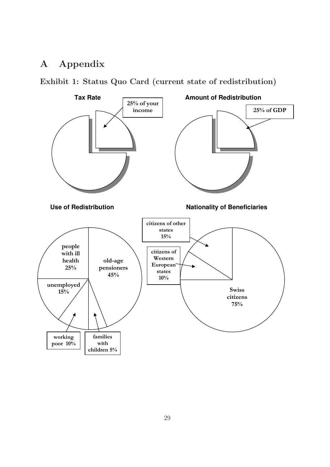# A Appendix

Exhibit 1: Status Quo Card (current state of redistribution)

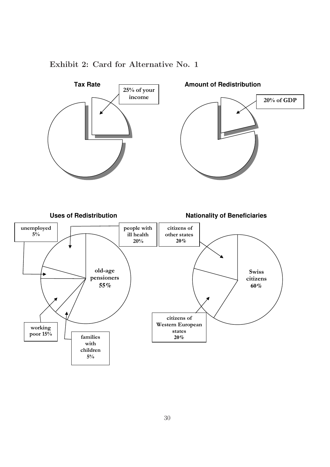

### Exhibit 2: Card for Alternative No. 1

 $\mathsf{r}$